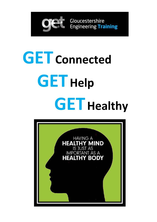

# **GET Connected GET Help GET Healthy**

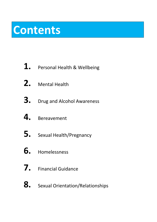# **Contents**

- **1.** Personal Health & Wellbeing
- **2.** Mental Health
- **3.** Drug and Alcohol Awareness
- **4.** Bereavement
- **5.** Sexual Health/Pregnancy
- **6.** Homelessness
- **7.** Financial Guidance
- **8.** Sexual Orientation/Relationships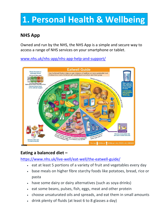# **1. Personal Health & Wellbeing**

### **NHS App**

Owned and run by the NHS, the NHS App is a simple and secure way to access a range of NHS services on your smartphone or tablet.

[www.nhs.uk/nhs-app/nhs-app-help-and-support/](http://www.nhs.uk/nhs-app/nhs-app-help-and-support/)



### **Eating a balanced diet –**

<https://www.nhs.uk/live-well/eat-well/the-eatwell-guide/>

- eat at least 5 portions of a variety of fruit and vegetables every day
- base meals on higher fibre starchy foods like potatoes, bread, rice or pasta
- have some dairy or dairy alternatives (such as soya drinks)
- eat some beans, pulses, fish, eggs, meat and other protein
- choose unsaturated oils and spreads, and eat them in small amounts
- drink plenty of fluids (at least 6 to 8 glasses a day)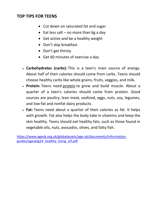#### **TOP TIPS FOR TEENS**

- Cut down on saturated fat and sugar
- Eat less salt no more than 6g a day
- Get active and be a healthy weight
- Don't skip breakfast
- Don't get thirsty
- Get 60 minutes of exercise a day
- **Carbohydrates (carbs):** This is a teen's main source of energy. About half of their calories should come from carbs. Teens should choose healthy carbs like whole grains, fruits, veggies, and milk.
- **Protein:** Teens need [protein](https://www.winchesterhospital.org/health-library/article?id=14056) to grow and build muscle. About a quarter of a teen's calories should come from protein. Good sources are poultry, lean meat, seafood, eggs, nuts, soy, legumes, and low-fat and nonfat dairy products.
- **Fat:** Teens need about a quarter of their calories as fat. It helps with growth. Fat also helps the body take in vitamins and keep the skin healthy. Teens should eat healthy fats, such as those found in vegetable oils, nuts, avocados, olives, and fatty fish.

[https://www.ageuk.org.uk/globalassets/age-uk/documents/information](https://www.ageuk.org.uk/globalassets/age-uk/documents/information-guides/ageukig24_healthy_living_inf.pdf)[guides/ageukig24\\_healthy\\_living\\_inf.pdf](https://www.ageuk.org.uk/globalassets/age-uk/documents/information-guides/ageukig24_healthy_living_inf.pdf)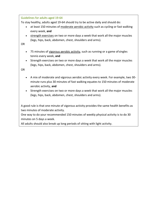Guidelines for adults aged 19-64

To stay healthy, adults aged 19-64 should try to be active daily and should do:

- at least 150 minutes of [moderate aerobic activity](http://www.nhs.uk/Livewell/fitness/Pages/physical-activity-guidelines-for-adults.aspx#moderate) such as cycling or fast walking every week, **and**
- [strength exercises](http://www.nhs.uk/Livewell/fitness/Pages/physical-activity-guidelines-for-adults.aspx#sets) on two or more days a week that work all the major muscles (legs, hips, back, abdomen, chest, shoulders and arms).

OR

- 75 minutes of [vigorous aerobic activity,](http://www.nhs.uk/Livewell/fitness/Pages/physical-activity-guidelines-for-adults.aspx#vigorous) such as running or a game of singles tennis every week, **and**
- Strength exercises on two or more days a week that work all the major muscles (legs, hips, back, abdomen, chest, shoulders and arms).

OR

- A mix of moderate and vigorous aerobic activity every week. For example, two 30 minute runs plus 30 minutes of fast walking equates to 150 minutes of moderate aerobic activity, **and**
- Strength exercises on two or more days a week that work all the major muscles (legs, hips, back, abdomen, chest, shoulders and arms).

A good rule is that one minute of vigorous activity provides the same health benefits as two minutes of moderate activity.

One way to do your recommended 150 minutes of weekly physical activity is to do 30 minutes on 5 days a week.

All adults should also break up long periods of sitting with light activity.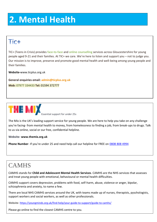# **2. Mental Health**

### Tic+

TIC+ (Teens in Crisis) provides [face-to-face a](http://www.ticplus.org.uk/support/young-people/face-to-face-counselling.php)nd online [counselling s](http://www.ticplus.org.uk/support/young-people/online-scheduled-counselling.php)ervices across Gloucestershire for young people aged 9-21 and their families. At TIC+ we care. We're here to listen and support you – not to judge you. Our mission is to improve, preserve and promote good mental health and well-being among young people and their families.

**Website-**[www.ticplus.org.uk](http://www.ticplus.org.uk/)

**General enquiries email: [admin@ticplus.org.uk](mailto:admin@ticplus.org.uk) Mob:** 07977 334433 **Tel:** 01594 372777



Essential support for under 25s

The Mix is the UK's leading support service for young people. We are here to help you take on any challenge you're facing- from mental health to money, from homelessness to finding a job, from break-ups to drugs. Talk to us via online, social or our free, confidential helpline.

**Website- [www.themix.org.uk](http://www.themix.org.uk/)**

**Phone Number**- If you're under 25 and need help call our helpline for FREE on 0808 808 4994

### **CAMHS**

CAMHS stands for **Child and Adolescent Mental Health Services**. CAMHS are the NHS services that assesses and treat young people with emotional, behavioural or mental health difficulties.

CAMHS support covers depression, problems with food, self-harm, abuse, violence or anger, bipolar, schizophrenia and anxiety, to name a few.

There are local NHS CAMHS services around the UK, with teams made up of nurses, therapists, pyschologists, support workers and social workers, as well as other professionals.

Website- <https://youngminds.org.uk/find-help/your-guide-to-support/guide-to-camhs/>

Please go online to find the closest CAMHS centre to you.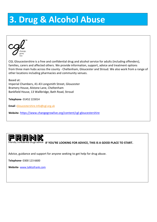# **3. Drug & Alcohol Abuse**



CGL Gloucestershire is a free and confidential drug and alcohol service for adults (including offenders), families, carers and affected others. We provide information, support, advice and treatment options from three main hubs across the county - Cheltenham, Gloucester and Stroud. We also work from a range of other locations including pharmacies and community venues.

Based at: Imperial Chambers, 41-43 Longsmith Street, Gloucester Bramery House, Alstone Lane, Cheltenham Bankfield House, 13 Wallbridge, Bath Road, Stroud

**Telephone**- 01452 223014

**Email** [-Gloucestershire.Info@cgl.org.uk](mailto:Gloucestershire.Info@cgl.org.uk)

**Website**- <https://www.changegrowlive.org/content/cgl-gloucestershire>



IF YOU'RE LOOKING FOR ADVICE, THIS IS A GOOD PLACE TO START.

Advice, guidance and support for anyone seeking to get help for drug abuse.

**Telephone-** 0300 123 6600

**Website**- [www.talktofrank.com](http://www.talktofrank.com/)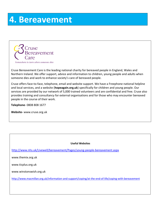### **4. Bereavement**



Cruse Bereavement Care is the leading national charity for bereaved people in England, Wales and Northern Ireland. We offer support, advice and information to children, young people and adults when someone dies and work to enhance society's care of bereaved people.

Cruse offers face-to-face, telephone, email and website support. We have a Freephone national helpline and local services, and a website (**[hopeagain.org.uk](http://www.hopeagain.org.uk/)**) specifically for children and young people. Our services are provided by our network of 5,000 trained volunteers and are confidential and free. Cruse also provides training and consultancy for external organisations and for those who may encounter bereaved people in the course of their work.

**Telephone**- 0808 808 1677

**Website-** [www.cruse.org.uk](http://www.cruse.org.uk/)

#### **Useful Websites**

<http://www.nhs.uk/Livewell/bereavement/Pages/young-people-bereavement.aspx>

[www.themix.org.uk](http://www.themix.org.uk/)

[www.ticplus.org.uk](http://www.ticplus.org.uk/)

[www.winstonswish.org.uk](http://www.winstonswish.org.uk/)

<http://www.macmillan.org.uk/information-and-support/coping/at-the-end-of-life/coping-with-bereavement>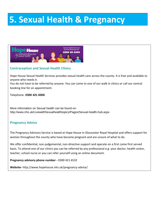# **5. Sexual Health & Pregnancy**



#### **Contraception and Sexual Health Clinics**

Hope House Sexual Health Services provides sexual health care across the county. It is free and available to anyone who needs it.

You do not have to be referred by anyone. You can come to one of our walk in clinics or call our central booking line for an appointment.

Telephone- **0300 421 6500**.

More information on Sexual health can be found on<http://www.nhs.uk/Livewell/Sexualhealthtopics/Pages/Sexual-health-hub.aspx>

#### **Pregnancy Advice**

The Pregnancy Advisory Service is based at Hope House in Gloucester Royal Hospital and offers support for women throughout the county who have become pregnant and are unsure of what to do.

We offer confidential, non-judgemental, non-directive support and operate on a first come first served basis. To attend one of our clinics you can be referred by any professional e.g. your doctor, health visitor, teacher, school nurse or you can refer yourself using an online document.

**Pregnancy advisory phone number -** 0300 421 6532

**Website-** <http://www.hopehouse.nhs.uk/pregnancy-advice/>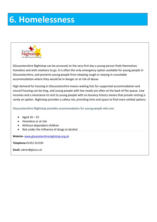# **6. Homelessness**



Gloucestershire Nightstop can be accessed on the very first day a young person finds themselves homeless and with nowhere to go. It is often the only emergency option available for young people in Gloucestershire, and prevents young people from sleeping rough or staying in unsuitable accommodation where they would be in danger or at risk of abuse.

High demand for housing in Gloucestershire means waiting lists for supported accommodation and council housing can be long, and young people with low needs are often at the back of the queue. Low incomes and a reluctance to rent to young people with no tenancy history means that private renting is rarely an option. Nightstop provides a safety net, providing time and space to find more settled options.

Gloucestershire Nightstop provides accommodation for young people who are:

- Aged  $16 25$
- Homeless or at risk
- Without dependent children
- Not under the influence of drugs or alcohol

**Website-** [www.gloucestershirenightstop.org.uk](http://www.gloucestershirenightstop.org.uk/)

**Telephone-**01452 331330

**Email-** [admin@glosns.uk](mailto:admin@glosns.uk)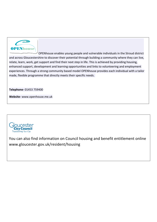

OPENhouse enables young people and vulnerable individuals in the Stroud district and across Gloucestershire to discover their potential through building a community where they can live, relate, learn, work, get support and find their next step in life. This is achieved by providing housing, enhanced support, development and learning opportunities and links to volunteering and employment experiences. Through a strong community based model OPENhouse provides each individual with a tailor made, flexible programme that directly meets their specific needs.

**Telephone-** 01453 759400

**Website-** [www.openhouse.me.uk](http://www.openhouse.me.uk/)



You can also find information on Council housing and benefit entitlement online [www.gloucester.gov.uk/resident/housing](http://www.gloucester.gov.uk/resident/housing)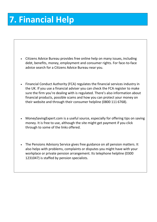# **7. Financial Help**

- [Citizens Advice Bureau p](http://www.adviceguide.org.uk/)rovides free online help on many issues, including debt, benefits, money, employment and consumer rights. For face-to-face advice [search for a Citizens Advice Bureau near](http://www.citizensadvice.org.uk/index/getadvice) you.
- [Financial Conduct Authority \(FCA\) r](http://www.fsa.gov.uk/consumerinformation)egulates the financial services industry in the UK. If you use a financial adviser you can check [the FCA register t](https://register.fca.org.uk/)o make sure the firm you're dealing with is regulated. There's also information about financial products, possible scams and how you can protect your money on their website and through their consumer helpline (0800 111 6768).
- [MoneySavingExpert.com i](http://www.moneysavingexpert.com/)s a useful source, especially for offering tips on saving money. It is free to use, although the site might get payment if you click through to some of the links offered.
- [The Pensions Advisory Service g](http://www.pensionsadvisoryservice.org.uk/)ives free guidance on all pension matters. It also helps with problems, complaints or disputes you might have with your workplace or private pension arrangement. Its telephone helpline (0300 1231047) is staffed by pension specialists.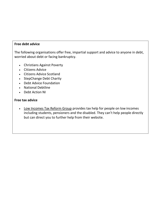#### **Free debt advice**

The following organisations offer free, impartial support and advice to anyone in debt, worried about debt or facing bankruptcy.

- [Christians Against](https://capuk.org/i-want-help/cap-debt-help) Poverty
- [Citizens Advice](http://www.adviceguide.org.uk/england/about_this_site/get_advice.htm)
- [Citizens Advice](http://www.adviceguide.org.uk/scotland.htm) Scotland
- [StepChange Debt](http://www.stepchange.org/) Charity
- [Debt Advice](http://www.debtadvicefoundation.org/) Foundation
- [National](http://www.nationaldebtline.co.uk/) Debtline
- [Debt Action](http://www.debtaction-ni.net/) NI

#### **Free tax advice**

• [Low Incomes Tax Reform Group](http://www.litrg.org.uk/) provides tax help for people on low incomes including students, pensioners and the disabled. They can't help people directly but can direct you to further help from their website.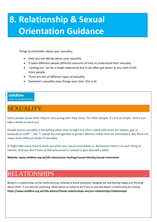# **8. Relationship & Sexual Orientation Guidance**

Things to remember about your sexuality:

- Only you can decide about your sexuality
- It takes different people different amounts of time to understand their sexuality
- 'coming out' can be a tough experience but it can often get easier as you start totell more people
- There are lots of different types of sexuality
- Someone's sexuality may change over time- this is ok

#### childline

ONLINE, ON THE PHONE, ANYTIME

### SEXUALITY

Some people know when they're very young who they fancy. For other people, it's not so simple. And it can take a while to work out.

People whose sexuality is something other than straight are often called LGB (short for lesbian, gay or bisexual) or LGBT' – the 'T' stands for transgender (a gender identity rather than an orientation). But there are many more different kinds of sexuality.

It might take some time to work out what your sexual orientation is. Remember there's no such thing as normal. And you don't have to feel pressured or rushed to give yourself a label.

**Website- [www.childline.org.uk/info-advice/your-feelings/sexual-identity/sexual-orientation](http://www.childline.org.uk/info-advice/your-feelings/sexual-identity/sexual-orientation)**

### RELATIONSHIPS

Being in a relationship can be really exciting. Getting to know someone, hanging out and feeling happy just thinking about them. It can also be confusing. Read advice on what to do if you're worried about a relationship by visiting **https:/[/www.childline.org.uk/info-advice/friends-relationships-sex/sex-relationships/relationships](http://www.childline.org.uk/info-advice/friends-relationships-sex/sex-relationships/relationships)**